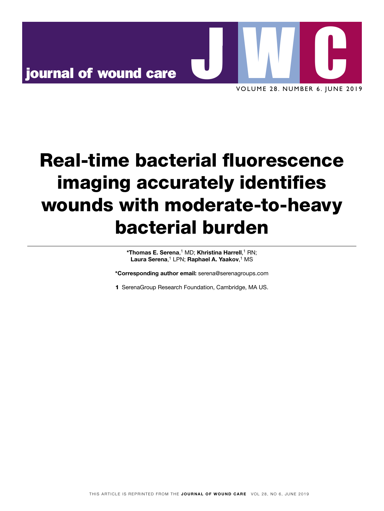

# Real-time bacterial fluorescence imaging accurately identifies wounds with moderate-to-heavy bacterial burden

\*Thomas E. Serena, 1 MD; Khristina Harrell, 1 RN; Laura Serena,<sup>1</sup> LPN; Raphael A. Yaakov,<sup>1</sup> MS

\*Corresponding author email: serena@serenagroups.com

1 SerenaGroup Research Foundation, Cambridge, MA US.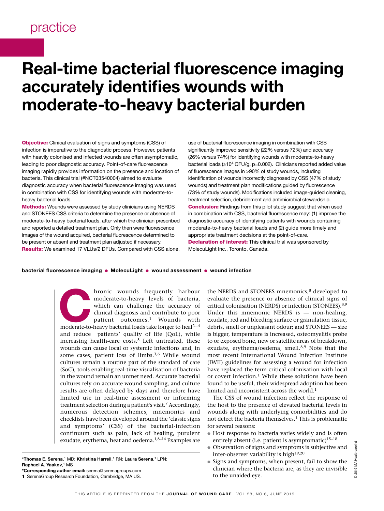## Real-time bacterial fluorescence imaging accurately identifies wounds with moderate-to-heavy bacterial burden

**Objective:** Clinical evaluation of signs and symptoms (CSS) of infection is imperative to the diagnostic process. However, patients with heavily colonised and infected wounds are often asymptomatic, leading to poor diagnostic accuracy. Point-of-care fluorescence imaging rapidly provides information on the presence and location of bacteria. This clinical trial (#NCT03540004) aimed to evaluate diagnostic accuracy when bacterial fluorescence imaging was used in combination with CSS for identifying wounds with moderate-toheavy bacterial loads.

**Methods:** Wounds were assessed by study clinicians using NERDS and STONEES CSS criteria to determine the presence or absence of moderate-to-heavy bacterial loads, after which the clinician prescribed and reported a detailed treatment plan. Only then were fluorescence images of the wound acquired, bacterial fluorescence determined to be present or absent and treatment plan adjusted if necessary. Results: We examined 17 VLUs/2 DFUs. Compared with CSS alone,

use of bacterial fluorescence imaging in combination with CSS significantly improved sensitivity (22% versus 72%) and accuracy (26% versus 74%) for identifying wounds with moderate-to-heavy bacterial loads (≥104 CFU/g, p=0.002). Clinicians reported added value of fluorescence images in >90% of study wounds, including identification of wounds incorrectly diagnosed by CSS (47% of study wounds) and treatment plan modifications guided by fluorescence (73% of study wounds). Modifications included image-guided cleaning, treatment selection, debridement and antimicrobial stewardship. **Conclusion:** Findings from this pilot study suggest that when used in combination with CSS, bacterial fluorescence may: (1) improve the diagnostic accuracy of identifying patients with wounds containing moderate-to-heavy bacterial loads and (2) guide more timely and appropriate treatment decisions at the point-of-care. **Declaration of interest:** This clinical trial was sponsored by MolecuLight Inc., Toronto, Canada.

#### bacterial fluorescence imaging ● MolecuLight ● wound assessment ● wound infection

hronic wounds frequently harbour<br>
moderate-to-heavy levels of bacteria,<br>
which can challenge the accuracy of<br>
clinical diagnosis and contribute to poor<br>
patient outcomes.<sup>1</sup> Wounds with<br>
moderate-to-heavy bacterial loads t moderate-to-heavy levels of bacteria, which can challenge the accuracy of clinical diagnosis and contribute to poor patient outcomes.1 Wounds with and reduce patients' quality of life (QoL), while increasing health-care costs. $5$  Left untreated, these wounds can cause local or systemic infections and, in some cases, patient loss of limbs.<sup>3,6</sup> While wound cultures remain a routine part of the standard of care (SoC), tools enabling real-time visualisation of bacteria in the wound remain an unmet need. Accurate bacterial cultures rely on accurate wound sampling, and culture results are often delayed by days and therefore have limited use in real-time assessment or informing treatment selection during a patient's visit.<sup>7</sup> Accordingly, numerous detection schemes, mnemonics and checklists have been developed around the 'classic signs and symptoms' (CSS) of the bacterial-infection continuum such as pain, lack of healing, purulent exudate, erythema, heat and oedema.<sup>1,8-14</sup> Examples are

1 SerenaGroup Research Foundation, Cambridge, MA US.

the NERDS and STONEES mnemonics,<sup>8</sup> developed to evaluate the presence or absence of clinical signs of critical colonisation (NERDS) or infection (STONEES).8,9 Under this mnemonic NERDS is — non-healing, exudate, red and bleeding surface or granulation tissue, debris, smell or unpleasant odour; and STONEES — size is bigger, temperature is increased, osteomyelitis probe to or exposed bone, new or satellite areas of breakdown, exudate, erythema/oedema, smell.<sup>8,9</sup> Note that the most recent International Wound Infection Institute (IWII) guidelines for assessing a wound for infection have replaced the term critical colonisation with local or covert infection.<sup>1</sup> While these solutions have been found to be useful, their widespread adoption has been limited and inconsistent across the world.<sup>1</sup>

The CSS of wound infection reflect the response of the host to the presence of elevated bacterial levels in wounds along with underlying comorbidities and do not detect the bacteria themselves. $<sup>1</sup>$  This is problematic</sup> for several reasons:

- Host response to bacteria varies widely and is often entirely absent (i.e. patient is asymptomatic)<sup>15-18</sup>
- Observation of signs and symptoms is subjective and inter-observer variability is high $19,20$
- Signs and symptoms, when present, fail to show the clinician where the bacteria are, as they are invisible to the unaided eye.

<sup>\*</sup>Thomas E. Serena,<sup>1</sup> MD; Khristina Harrell,<sup>1</sup> RN; Laura Serena,<sup>1</sup> LPN; Raphael A. Yaakov,<sup>1</sup> MS

<sup>\*</sup>Corresponding author email: serena@serenagroups.com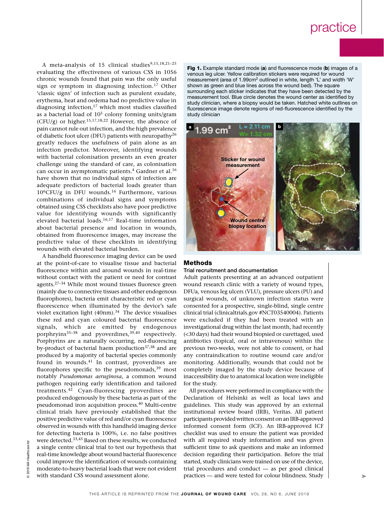A meta-analysis of 15 clinical studies<sup>9,15,18,21-25</sup> evaluating the effectiveness of various CSS in 1056 chronic wounds found that pain was the only useful sign or symptom in diagnosing infection.<sup>17</sup> Other 'classic signs' of infection such as purulent exudate, erythema, heat and oedema had no predictive value in diagnosing infection.<sup>17</sup> which most studies classified as a bacterial load of  $10<sup>5</sup>$  colony forming units/gram (CFU/g) or higher.<sup>15,17,18,22</sup> However, the absence of pain cannot rule out infection, and the high prevalence of diabetic foot ulcer (DFU) patients with neuropathy26 greatly reduces the usefulness of pain alone as an infection predictor. Moreover, identifying wounds with bacterial colonisation presents an even greater challenge using the standard of care, as colonisation can occur in asymptomatic patients.4 Gardner et al.16 have shown that no individual signs of infection are adequate predictors of bacterial loads greater than  $10^6$ CFU/g in DFU wounds.<sup>16</sup> Furthermore, various combinations of individual signs and symptoms obtained using CSS checklists also have poor predictive value for identifying wounds with significantly elevated bacterial loads.16,17 Real-time information about bacterial presence and location in wounds, obtained from fluorescence images, may increase the predictive value of these checklists in identifying wounds with elevated bacterial burden.

A handheld fluorescence imaging device can be used at the point-of-care to visualise tissue and bacterial fluorescence within and around wounds in real-time without contact with the patient or need for contrast agents.27–34 While most wound tissues fluoresce green (mainly due to connective tissues and other endogenous fluorophores), bacteria emit characteristic red or cyan fluorescence when illuminated by the device's safe violet excitation light  $(40nm).<sup>34</sup>$  The device visualises these red and cyan coloured bacterial fluorescence signals, which are emitted by endogenous porphryins<sup>35–38</sup> and pyoverdines,<sup>39,40</sup> respectively. Porphyrins are a naturally occurring, red-fluorescing by-product of bacterial haem production<sup>37,38</sup> and are produced by a majority of bacterial species commonly found in wounds.41 In contrast, pyoverdines are fluorophores specific to the pseudomonads, $39$  most notably *Pseudomonas aeruginosa*, a common wound pathogen requiring early identification and tailored treatments.42 Cyan-fluorescing pyoverdines are produced endogenously by these bacteria as part of the pseudomonad iron acquisition process.40 Multi-centre clinical trials have previously established that the positive predictive value of red and/or cyan fluorescence observed in wounds with this handheld imaging device for detecting bacteria is 100%, i.e. no false positives were detected.33,43 Based on these results, we conducted a single centre clinical trial to test our hypothesis that real-time knowledge about wound bacterial fluorescence could improve the identification of wounds containing moderate-to-heavy bacterial loads that were not evident with standard CSS wound assessment alone.

Fig 1. Example standard mode (a) and fluorescence mode (b) images of a venous leg ulcer. Yellow calibration stickers were required for wound measurement (area of 1.99cm<sup>2</sup> outlined in white, length 'L' and width 'W' shown as green and blue lines across the wound bed). The square surrounding each sticker indicates that they have been detected by the measurement tool. Blue circle denotes the wound center as identified by study clinician, where a biopsy would be taken. Hatched white outlines on fluorescence image denote regions of red-fluorescence identified by the study clinician



#### **Methods**

#### Trial recruitment and documentation

Adult patients presenting at an advanced outpatient wound research clinic with a variety of wound types, DFUa, venous leg ulcers (VLU), pressure ulcers (PU) and surgical wounds, of unknown infection status were consented for a prospective, single-blind, single centre clinical trial (clinicaltrials.gov #NCT03540004). Patients were excluded if they had been treated with an investigational drug within the last month, had recently (<30 days) had their wound biopsied or curettaged, used antibiotics (topical, oral or intravenous) within the previous two-weeks, were not able to consent, or had any contraindication to routine wound care and/or monitoring. Additionally, wounds that could not be completely imaged by the study device because of inaccessibility due to anatomical location were ineligible for the study.

All procedures were performed in compliance with the Declaration of Helsinki as well as local laws and guidelines. This study was approved by an external institutional review board (IRB), Veritas. All patient participants provided written consent on an IRB-approved informed consent form (ICF). An IRB-approved ICF checklist was used to ensure the patient was provided with all required study information and was given sufficient time to ask questions and make an informed decision regarding their participation. Before the trial started, study clinicians were trained on use of the device, trial procedures and conduct — as per good clinical practices — and were tested for colour blindness. Study

 $\tilde{E}$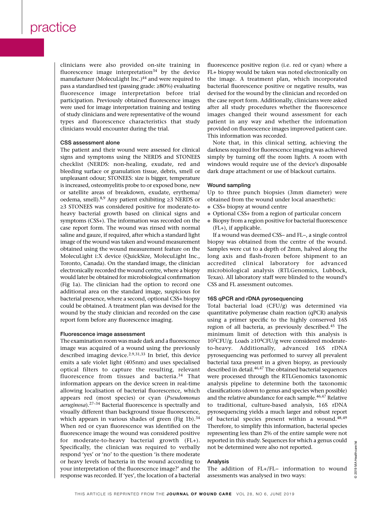clinicians were also provided on-site training in fluorescence image interpretation<sup>34</sup> by the device manufacturer (MolecuLight Inc.)<sup>44</sup> and were required to pass a standardised test (passing grade: ≥80%) evaluating fluorescence image interpretation before trial participation. Previously obtained fluorescence images were used for image interpretation training and testing of study clinicians and were representative of the wound types and fluorescence characteristics that study clinicians would encounter during the trial.

#### CSS assessment alone

The patient and their wound were assessed for clinical signs and symptoms using the NERDS and STONEES checklist (NERDS: non-healing, exudate, red and bleeding surface or granulation tissue, debris, smell or unpleasant odour; STONEES: size is bigger, temperature is increased, osteomyelitis probe to or exposed bone, new or satellite areas of breakdown, exudate, erythema/ oedema, smell).8,9 Any patient exhibiting ≥3 NERDS or ≥3 STONEES was considered positive for moderate-toheavy bacterial growth based on clinical signs and symptoms (CSS+). The information was recorded on the case report form. The wound was rinsed with normal saline and gauze, if required, after which a standard light image of the wound was taken and wound measurement obtained using the wound measurement feature on the MolecuLight i:X device (QuickSize, MolecuLight Inc., Toronto, Canada). On the standard image, the clinician electronically recorded the wound centre, where a biopsy would later be obtained for microbiological confirmation (Fig 1a). The clinician had the option to record one additional area on the standard image, suspicious for bacterial presence, where a second, optional CSS+ biopsy could be obtained. A treatment plan was devised for the wound by the study clinician and recorded on the case report form before any fluorescence imaging.

#### Fluorescence image assessment

The examination room was made dark and a fluorescence image was acquired of a wound using the previously described imaging device.<sup>2.9,31,33</sup> In brief, this device emits a safe violet light (405nm) and uses specialised optical filters to capture the resulting, relevant fluorescence from tissues and bacteria.34 That information appears on the device screen in real-time allowing localisation of bacterial fluorescence, which appears red (most species) or cyan (*Pseudomonas aeruginosa*).27–34 Bacterial fluorescence is spectrally and visually different than background tissue fluorescence, which appears in various shades of green (Fig 1b).  $34$ When red or cyan fluorescence was identified on the fluorescence image the wound was considered positive for moderate-to-heavy bacterial growth (FL+). Specifically, the clinician was required to verbally respond 'yes' or 'no' to the question 'is there moderate or heavy levels of bacteria in the wound according to your interpretation of the fluorescence image?' and the response was recorded. If 'yes', the location of a bacterial

fluorescence positive region (i.e. red or cyan) where a FL+ biopsy would be taken was noted electronically on the image. A treatment plan, which incorporated bacterial fluorescence positive or negative results, was devised for the wound by the clinician and recorded on the case report form. Additionally, clinicians were asked after all study procedures whether the fluorescence images changed their wound assessment for each patient in any way and whether the information provided on fluorescence images improved patient care. This information was recorded.

Note that, in this clinical setting, achieving the darkness required for fluorescence imaging was achieved simply by turning off the room lights. A room with windows would require use of the device's disposable dark drape attachment or use of blackout curtains.

#### Wound sampling

Up to three punch biopsies (3mm diameter) were obtained from the wound under local anaesthetic:

- CSS+ biopsy at wound centre
- Optional CSS+ from a region of particular concern
- Biopsy from a region positive for bacterial fluorescence (FL+), if applicable.

If a wound was deemed CSS− and FL−, a single control biopsy was obtained from the centre of the wound. Samples were cut to a depth of 2mm, halved along the long axis and flash-frozen before shipment to an accredited clinical laboratory for advanced microbiological analysis (RTLGenomics, Lubbock, Texas). All laboratory staff were blinded to the wound's CSS and FL assessment outcomes.

#### 16S qPCR and rDNA pyrosequencing

Total bacterial load (CFU/g) was determined via quantitative polymerase chain reaction (qPCR) analysis using a primer specific to the highly conserved 16S region of all bacteria, as previously described.<sup>45</sup> The minimum limit of detection with this analysis is 10<sup>2</sup>CFU/g. Loads ≥10<sup>4</sup>CFU/g were considered moderateto-heavy. Additionally, advanced 16S rDNA pyrosequencing was performed to survey all prevalent bacterial taxa present in a given biopsy, as previously described in detail.<sup>46,47</sup> The obtained bacterial sequences were processed through the RTLGenomics taxonomic analysis pipeline to determine both the taxonomic classifications (down to genus and species when possible) and the relative abundance for each sample.<sup>46,47</sup> Relative to traditional, culture-based analysis, 16S rDNA pyrosequencing yields a much larger and robust report of bacterial species present within a wound.48,49 Therefore, to simplify this information, bacterial species representing less than 2% of the entire sample were not reported in this study. Sequences for which a genus could not be determined were also not reported.

#### Analysis

The addition of FL+/FL− information to wound assessments was analysed in two ways: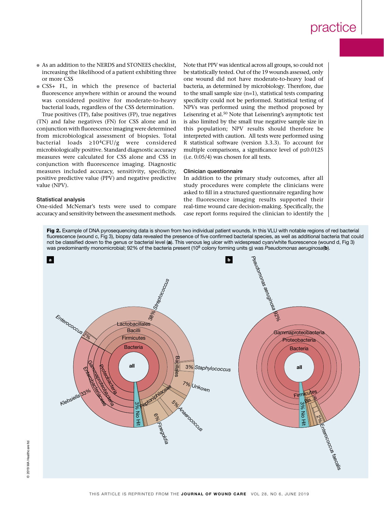- As an addition to the NERDS and STONEES checklist. increasing the likelihood of a patient exhibiting three or more CSS
- CSS+ FL, in which the presence of bacterial fluorescence anywhere within or around the wound was considered positive for moderate-to-heavy bacterial loads, regardless of the CSS determination. True positives (TP), false positives (FP), true negatives

(TN) and false negatives (FN) for CSS alone and in conjunction with fluorescence imaging were determined from microbiological assessment of biopsies. Total bacterial loads  $\geq 10^{4}$ CFU/g were considered microbiologically positive. Standard diagnostic accuracy measures were calculated for CSS alone and CSS in conjunction with fluorescence imaging. Diagnostic measures included accuracy, sensitivity, specificity, positive predictive value (PPV) and negative predictive value (NPV).

#### Note that PPV was identical across all groups, so could not be statistically tested. Out of the 19 wounds assessed, only one wound did not have moderate-to-heavy load of bacteria, as determined by microbiology. Therefore, due to the small sample size (n=1), statistical tests comparing specificity could not be performed. Statistical testing of NPVs was performed using the method proposed by Leisenring et al.50 Note that Leisenring's asymptotic test is also limited by the small true negative sample size in this population; NPV results should therefore be interpreted with caution. All tests were performed using R statistical software (version 3.3.3). To account for multiple comparisons, a significance level of p≤0.0125 (i.e. 0.05/4) was chosen for all tests.

#### Clinician questionnaire

In addition to the primary study outcomes, after all study procedures were complete the clinicians were asked to fill in a structured questionnaire regarding how the fluorescence imaging results supported their real-time wound care decision-making. Specifically, the case report forms required the clinician to identify the

#### Statistical analysis

One-sided McNemar's tests were used to compare accuracy and sensitivity between the assessment methods.

Fig 2. Example of DNA pyrosequencing data is shown from two individual patient wounds. In this VLU with notable regions of red bacterial fluorescence (wound c, Fig 3), biopsy data revealed the presence of five confirmed bacterial species, as well as additional bacteria that could not be classified down to the genus or bacterial level (a). This venous leg ulcer with widespread cyan/white fluorescence (wound d, Fig 3) was predominantly monomicrobial; 92% of the bacteria present (10<sup>8</sup> colony forming units g) was *Pseudomonas aeruginosa(b*).

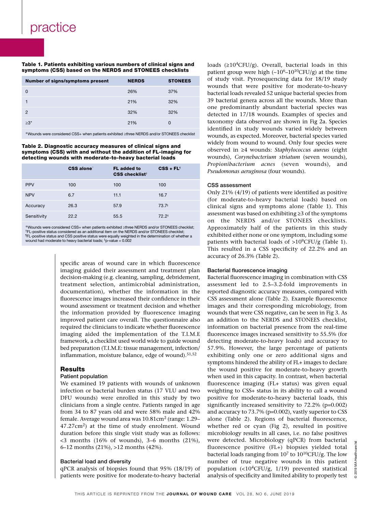#### Table 1. Patients exhibiting various numbers of clinical signs and symptoms (CSS) based on the NERDS and STONEES checklists

| <b>Number of signs/symptoms present</b> | <b>NERDS</b> | <b>STONEES</b> |
|-----------------------------------------|--------------|----------------|
| 0                                       | 26%          | 37%            |
|                                         | 21%          | 32%            |
| $\mathcal{P}$                           | 32%          | 32%            |
| $>3^*$                                  | 21%          | 0              |
|                                         |              |                |

\*Wounds were considered CSS+ when patients exhibited ≥three NERDS and/or STONEES checklist

#### Table 2. Diagnostic accuracy measures of clinical signs and symptoms (CSS) with and without the addition of FL-imaging for detecting wounds with moderate-to-heavy bacterial loads

|             | CSS alone | FL added to<br><b>CSS checklist<sup>↑</sup></b> | $CSS + FL^{1}$      |
|-------------|-----------|-------------------------------------------------|---------------------|
| <b>PPV</b>  | 100       | 100                                             | 100                 |
| <b>NPV</b>  | 6.7       | 11.1                                            | 16.7                |
| Accuracy    | 26.3      | 57.9                                            | 73.7                |
| Sensitivity | 22.2      | 55.5                                            | $72.2$ <sup>§</sup> |

\*Wounds were considered CSS+ when patients exhibited ≥three NERDS and/or STONEES checklist; †FL-positive status considered as an additional item on the NERDS and/or STONEES checklist; ¶ FL-positive status and CSS positive status were equally weighted in the determination of whether a wound had moderate to heavy bacterial loads; §p-value = 0.002

> specific areas of wound care in which fluorescence imaging guided their assessment and treatment plan decision-making (e.g. cleaning, sampling, debridement, treatment selection, antimicrobial administration, documentation), whether the information in the fluorescence images increased their confidence in their wound assessment or treatment decision and whether the information provided by fluorescence imaging improved patient care overall. The questionnaire also required the clinicians to indicate whether fluorescence imaging aided the implementation of the T.I.M.E framework, a checklist used world wide to guide wound bed preparation (T.I.M.E: tissue management, infection/ inflammation, moisture balance, edge of wound). $51,52$

#### Results

#### Patient population

We examined 19 patients with wounds of unknown infection or bacterial burden status (17 VLU and two DFU wounds) were enrolled in this study by two clinicians from a single centre. Patients ranged in age from 34 to 87 years old and were 58% male and 42% female. Average wound area was 10.81cm2 (range: 1.29– 47.27cm2) at the time of study enrolment. Wound duration before this single visit study was as follows:  $\langle$  2 months (16% of wounds), 3–6 months (21%), 6–12 months (21%), >12 months (42%).

#### Bacterial load and diversity

qPCR analysis of biopsies found that 95% (18/19) of patients were positive for moderate-to-heavy bacterial loads  $(\geq 10^4$ CFU/g). Overall, bacterial loads in this patient group were high  $(-10^6-10^{10}$ CFU/g) at the time of study visit. Pyrosequencing data for 18/19 study wounds that were positive for moderate-to-heavy bacterial loads revealed 52 unique bacterial species from 39 bacterial genera across all the wounds. More than one predominantly abundant bacterial species was detected in 17/18 wounds. Examples of species and taxonomy data observed are shown in Fig 2a. Species identified in study wounds varied widely between wounds, as expected. Moreover, bacterial species varied widely from wound to wound. Only four species were observed in ≥4 wounds: *Staphylococcus aureus* (eight wounds), *Corynebacterium striatum* (seven wounds), *Propionibacterium acnes* (seven wounds), and *Pseudomonas aeruginosa* (four wounds).

#### CSS assessment

Only 21% (4/19) of patients were identified as positive (for moderate-to-heavy bacterial loads) based on clinical signs and symptoms alone (Table 1). This assessment was based on exhibiting ≥3 of the symptoms on the NERDS and/or STONEES checklists. Approximately half of the patients in this study exhibited either none or one symptom, including some patients with bacterial loads of  $>10^9$ CFU/g (Table 1). This resulted in a CSS specificity of 22.2% and an accuracy of 26.3% (Table 2).

#### Bacterial fluorescence imaging

Bacterial fluorescence imaging in combination with CSS assessment led to 2.5–3.2-fold improvements in reported diagnostic accuracy measures, compared with CSS assessment alone (Table 2). Example fluorescence images and their corresponding microbiology, from wounds that were CSS negative, can be seen in Fig 3. As an addition to the NERDS and STONEES checklist, information on bacterial presence from the real-time fluorescence images increased sensitivity to 55.5% (for detecting moderate-to-heavy loads) and accuracy to 57.9%. However, the large percentage of patients exhibiting only one or zero additional signs and symptoms hindered the ability of FL+ images to declare the wound positive for moderate-to-heavy growth when used in this capacity. In contrast, when bacterial fluorescence imaging (FL+ status) was given equal weighting to CSS+ status in its ability to call a wound positive for moderate-to-heavy bacterial loads, this significantly increased sensitivity to 72.2% (p=0.002) and accuracy to 73.7% (p=0.002), vastly superior to CSS alone (Table 2). Regions of bacterial fluorescence, whether red or cyan (Fig 2), resulted in positive microbiology results in all cases, i.e. no false positives were detected. Microbiology (qPCR) from bacterial fluorescence positive (FL+) biopsies yielded total bacterial loads ranging from  $10^7$  to  $10^{10}$ CFU/g. The low number of true negative wounds in this patient population (<104CFU/g, 1/19) prevented statistical analysis of specificity and limited ability to properly test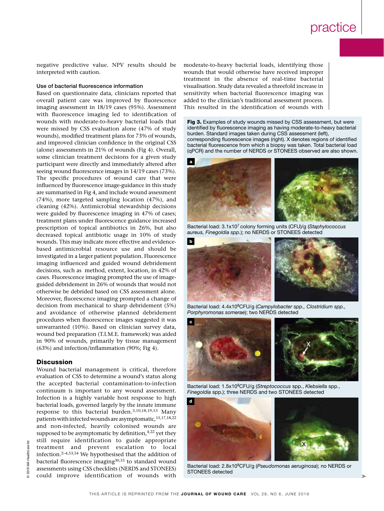negative predictive value. NPV results should be interpreted with caution.

#### Use of bacterial fluorescence information

Based on questionnaire data, clinicians reported that overall patient care was improved by fluorescence imaging assessment in 18/19 cases (95%). Assessment with fluorescence imaging led to identification of wounds with moderate-to-heavy bacterial loads that were missed by CSS evaluation alone (47% of study wounds), modified treatment plans for 73% of wounds, and improved clinician confidence in the original CSS (alone) assessments in 21% of wounds (Fig 4). Overall, some clinician treatment decisions for a given study participant were directly and immediately altered after seeing wound fluorescence images in 14/19 cases (73%). The specific procedures of wound care that were influenced by fluorescence image-guidance in this study are summarised in Fig 4, and include wound assessment (74%), more targeted sampling location (47%), and cleaning (42%). Antimicrobial stewardship decisions were guided by fluorescence imaging in 47% of cases; treatment plans under fluorescence guidance increased prescription of topical antibiotics in 26%, but also decreased topical antibiotic usage in 10% of study wounds. This may indicate more effective and evidencebased antimicrobial resource use and should be investigated in a larger patient population. Fluorescence imaging influenced and guided wound debridement decisions, such as method, extent, location, in 42% of cases. Fluorescence imaging prompted the use of imageguided debridement in 26% of wounds that would not otherwise be debrided based on CSS assessment alone. Moreover, fluorescence imaging prompted a change of decision from mechanical to sharp debridement (5%) and avoidance of otherwise planned debridement procedures when fluorescence images suggested it was unwarranted (10%). Based on clinician survey data, wound bed preparation (T.I.M.E. framework) was aided in 90% of wounds, primarily by tissue management (63%) and infection/inflammation (90%; Fig 4).

#### **Discussion**

Wound bacterial management is critical, therefore evaluation of CSS to determine a wound's status along the accepted bacterial contamination-to-infection continuum is important to any wound assessment. Infection is a highly variable host response to high bacterial loads, governed largely by the innate immune response to this bacterial burden.3,10,18,19,53 Many patients with infected wounds are asymptomatic,15,17,18,22 and non-infected, heavily colonised wounds are supposed to be asymptomatic by definition,  $4,22$  yet they still require identification to guide appropriate treatment and prevent escalation to local infection.2–4,53,54 We hypothesised that the addition of bacterial fluorescence imaging $30,33$  to standard wound assessments using CSS checklists (NERDS and STONEES) could improve identification of wounds with

moderate-to-heavy bacterial loads, identifying those wounds that would otherwise have received improper treatment in the absence of real-time bacterial visualisation. Study data revealed a threefold increase in sensitivity when bacterial fluorescence imaging was added to the clinician's traditional assessment process. This resulted in the identification of wounds with

Fig 3. Examples of study wounds missed by CSS assessment, but were identified by fluorescence imaging as having moderate-to-heavy bacterial burden. Standard images taken during CSS assessment (left), corresponding fluorescence images (right). X denotes regions of identified bacterial fluorescence from which a biopsy was taken. Total bacterial load (qPCR) and the number of NERDS or STONEES observed are also shown.



Bacterial load: 3.1x107 colony forming units (CFU)/g (*Staphylococcus aureus, Finegoldia spp.*); no NERDS or STONEES detected



Bacterial load: 4.4x108CFU/g (*Campylobacter spp., Clostridium spp., Porphyromonas somerae*); two NERDS detected



Bacterial load: 1.5x108CFU/g (*Streptococcus* spp., *Klebsiella* spp., *Finegoldia* spp.); three NERDS and two STONEES detected



Bacterial load: 2.8x108CFU/g (*Pseudomonas aeruginosa*); no NERDS or STONEES detected

 $\overline{c}$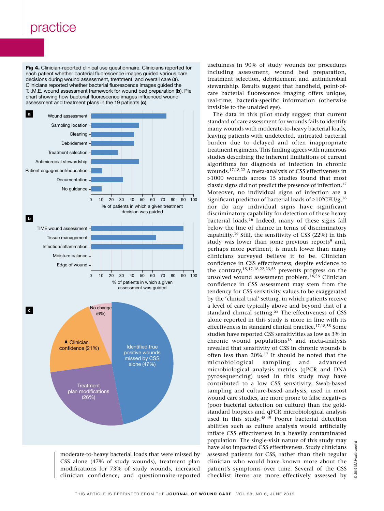Fig 4. Clinician-reported clinical use questionnaire. Clinicians reported for each patient whether bacterial fluorescence images guided various care decisions during wound assessment, treatment, and overall care (a). Clinicians reported whether bacterial fluorescence images guided the T.I.M.E. wound assessment framework for wound bed preparation (b). Pie chart showing how bacterial fluorescence images influenced wound assessment and treatment plans in the 19 patients (c)



moderate-to-heavy bacterial loads that were missed by CSS alone (47% of study wounds), treatment plan modifications for 73% of study wounds, increased clinician confidence, and questionnaire-reported

usefulness in 90% of study wounds for procedures including assessment, wound bed preparation, treatment selection, debridement and antimicrobial stewardship. Results suggest that handheld, point-ofcare bacterial fluorescence imaging offers unique, real-time, bacteria-specific information (otherwise invisible to the unaided eye).

The data in this pilot study suggest that current standard of care assessment for wounds fails to identify many wounds with moderate-to-heavy bacterial loads, leaving patients with undetected, untreated bacterial burden due to delayed and often inappropriate treatment regimens. This finding agrees with numerous studies describing the inherent limitations of current algorithms for diagnosis of infection in chronic wounds.17,18,22 A meta-analysis of CSS effectiveness in >1000 wounds across 15 studies found that most classic signs did not predict the presence of infection.17 Moreover, no individual signs of infection are a significant predictor of bacterial loads of  $\geq 10^{6}$ CFU/g,<sup>16</sup> nor do any individual signs have significant discriminatory capability for detection of these heavy bacterial loads.16 Indeed, many of these signs fall below the line of chance in terms of discriminatory capability.16 Still, the sensitivity of CSS (22%) in this study was lower than some previous reports<sup>9</sup> and, perhaps more pertinent, is much lower than many clinicians surveyed believe it to be. Clinician confidence in CSS effectiveness, despite evidence to the contrary,15,17,18,22,23,55 prevents progress on the unsolved wound assessment problem.<sup>16,56</sup> Clinician confidence in CSS assessment may stem from the tendency for CSS sensitivity values to be exaggerated by the 'clinical trial' setting, in which patients receive a level of care typically above and beyond that of a standard clinical setting.<sup>55</sup> The effectiveness of CSS alone reported in this study is more in line with its effectiveness in standard clinical practice.<sup>17,18,55</sup> Some studies have reported CSS sensitivities as low as 3% in chronic wound populations<sup>18</sup> and meta-analysis revealed that sensitivity of CSS in chronic wounds is often less than  $20\%$ .<sup>17</sup> It should be noted that the microbiological sampling and advanced microbiological analysis metrics (qPCR and DNA pyrosequencing) used in this study may have contributed to a low CSS sensitivity. Swab-based sampling and culture-based analysis, used in most wound care studies, are more prone to false negatives (poor bacterial detection on culture) than the goldstandard biopsies and qPCR microbiological analysis used in this study.<sup>48,49</sup> Poorer bacterial detection abilities such as culture analysis would artificially inflate CSS effectiveness in a heavily contaminated population. The single-visit nature of this study may have also impacted CSS effectiveness. Study clinicians assessed patients for CSS, rather than their regular clinician who would have known more about the patient's symptoms over time. Several of the CSS checklist items are more effectively assessed by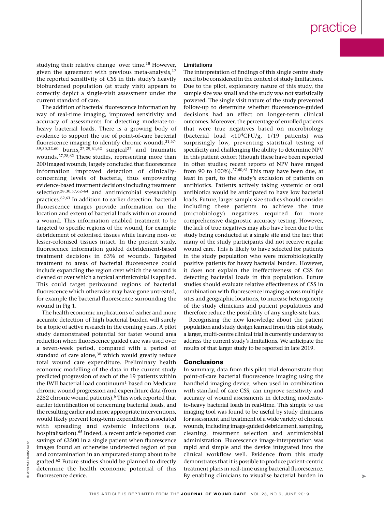studying their relative change over time.18 However, given the agreement with previous meta-analysis, $17$ the reported sensitivity of CSS in this study's heavily bioburdened population (at study visit) appears to correctly depict a single-visit assessment under the current standard of care.

The addition of bacterial fluorescence information by way of real-time imaging, improved sensitivity and accuracy of assessments for detecting moderate-toheavy bacterial loads. There is a growing body of evidence to support the use of point-of-care bacterial fluorescence imaging to identify chronic wounds,  $31,57$ -59,30,32,60 burns,  $^{27,29,61,62}$  surgical<sup>27</sup> and traumatic wounds.27,28,62 These studies, representing more than 200 imaged wounds, largely concluded that fluorescence information improved detection of clinicallyconcerning levels of bacteria, thus empowering evidence-based treatment decisions including treatment selection<sup>28,30,57,62–64</sup> and antimicrobial stewardship practices.62,63 In addition to earlier detection, bacterial fluorescence images provide information on the location and extent of bacterial loads within or around a wound. This information enabled treatment to be targeted to specific regions of the wound, for example debridement of colonised tissues while leaving non- or lesser-colonised tissues intact. In the present study, fluorescence information guided debridement-based treatment decisions in 63% of wounds. Targeted treatment to areas of bacterial fluorescence could include expanding the region over which the wound is cleaned or over which a topical antimicrobial is applied. This could target periwound regions of bacterial fluorescence which otherwise may have gone untreated, for example the bacterial fluorescence surrounding the wound in Fig 1.

The health economic implications of earlier and more accurate detection of high bacterial burden will surely be a topic of active research in the coming years. A pilot study demonstrated potential for faster wound area reduction when fluorescence guided care was used over a seven-week period, compared with a period of standard of care alone, $30$  which would greatly reduce total wound care expenditure. Preliminary health economic modelling of the data in the current study predicted progression of each of the 19 patients within the IWII bacterial load continuum<sup>1</sup> based on Medicare chronic wound progression and expenditure data (from 2252 chronic wound patients).<sup>6</sup> This work reported that earlier identification of concerning bacterial loads, and the resulting earlier and more appropriate interventions, would likely prevent long-term expenditures associated with spreading and systemic infections (e.g. hospitalisation).<sup>65</sup> Indeed, a recent article reported cost savings of £3500 in a single patient when fluorescence images found an otherwise undetected region of pus and contamination in an amputated stump about to be grafted.62 Future studies should be planned to directly determine the health economic potential of this fluorescence device.

#### Limitations

The interpretation of findings of this single centre study need to be considered in the context of study limitations. Due to the pilot, exploratory nature of this study, the sample size was small and the study was not statistically powered. The single visit nature of the study prevented follow-up to determine whether fluorescence-guided decisions had an effect on longer-term clinical outcomes. Moreover, the percentage of enrolled patients that were true negatives based on microbiology (bacterial load <104CFU/g, 1/19 patients) was surprisingly low, preventing statistical testing of specificity and challenging the ability to determine NPV in this patient cohort (though these have been reported in other studies; recent reports of NPV have ranged from 90 to 100%).<sup>27,60,61</sup> This may have been due, at least in part, to the study's exclusion of patients on antibiotics. Patients actively taking systemic or oral antibiotics would be anticipated to have low bacterial loads. Future, larger sample size studies should consider including these patients to achieve the true (microbiology) negatives required for more comprehensive diagnostic accuracy testing. However, the lack of true negatives may also have been due to the study being conducted at a single site and the fact that many of the study participants did not receive regular wound care. This is likely to have selected for patients in the study population who were microbiologically positive patients for heavy bacterial burden. However, it does not explain the ineffectiveness of CSS for detecting bacterial loads in this population. Future studies should evaluate relative effectiveness of CSS in combination with fluorescence imaging across multiple sites and geographic locations, to increase heterogeneity of the study clinicians and patient populations and therefore reduce the possibility of any single-site bias.

Recognising the new knowledge about the patient population and study design learned from this pilot study, a larger, multi-centre clinical trial is currently underway to address the current study's limitations. We anticipate the results of that larger study to be reported in late 2019.

#### Conclusions

In summary, data from this pilot trial demonstrate that point-of-care bacterial fluorescence imaging using the handheld imaging device, when used in combination with standard of care CSS, can improve sensitivity and accuracy of wound assessments in detecting moderateto-heavy bacterial loads in real-time. This simple to use imaging tool was found to be useful by study clinicians for assessment and treatment of a wide variety of chronic wounds, including image-guided debridement, sampling, cleaning, treatment selection and antimicrobial administration. Fluorescence image-interpretation was rapid and simple and the device integrated into the clinical workflow well. Evidence from this study demonstrates that it is possible to produce patient-centric treatment plans in real-time using bacterial fluorescence. By enabling clinicians to visualise bacterial burden in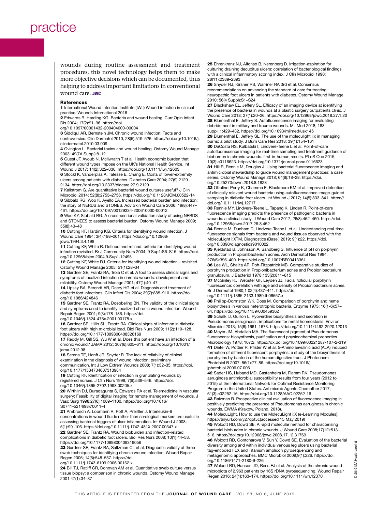wounds during routine assessment and treatment procedures, this novel technology helps them to make more objective decisions which can be documented, thus helping to address important limitations in conventional wound care. JWC

#### References

1 International Wound Infection Institute (IWII) Wound infection in clinical practice. Wounds International 2016

2 Edwards R, Harding KG. Bacteria and wound healing. Curr Opin Infect Dis 2004; 17(2):91–96. https://doi.

org/10.1097/00001432-200404000-00004

3 Siddiqui AR, Bernstein JM, Chronic wound infection: Facts and

controversies. Clin Dermatol 2010; 28(5):519–526. https://doi.org/10.1016/j. clindermatol.2010.03.009

4 Ovington L. Bacterial toxins and wound healing. Ostomy Wound Manage 2003; 49(7A Suppl):8–12

5 Guest JF, Ayoub N, McIlwraith T et al. Health economic burden that different wound types impose on the UK's National Health Service. Int Wound J 2017; 14(2):322–330. https://doi.org/10.1111/iwj.12603

6 Stockl K, Vanderplas A, Tafesse E, Chang E. Costs of lower-extremity ulcers among patients with diabetes. Diabetes Care 2004; 27(9):2129– 2134. https://doi.org/10.2337/diacare.27.9.2129

7 Kallstrom G. Are quantitative bacterial wound cultures useful? J Clin Microbiol 2014; 52(8):2753–2756. https://doi.org/10.1128/JCM.00522-14 8 Sibbald RG, Woo K, Ayello EA. Increased bacterial burden and infection: the story of NERDS and STONES. Adv Skin Wound Care 2006; 19(8):447– 461. https://doi.org/10.1097/00129334-200610000-00012

9 Woo KY, Sibbald RG. A cross-sectional validation study of using NERDS and STONEES to assess bacterial burden. Ostomy Wound Manage 2009; 55(8):40–48

10 Cutting KF, Harding KG. Criteria for identifying wound infection. J Wound Care 1994; 3(4):198–201. https://doi.org/10.12968/ jowc.1994.3.4.198

11 Cutting KF, White R. Defined and refined: criteria for identifying wound infection revisited. Br J Community Nurs 2004; 9 Sup1:S6–S15. https://doi. org/10.12968/bjcn.2004.9.Sup1.12495

12 Cutting KF, White RJ. Criteria for identifying wound infection—revisited. Ostomy Wound Manage 2005; 51(1):28–34

13 Gardner SE, Frantz RA, Troia C et al. A tool to assess clinical signs and symptoms of localized infection in chronic wounds: development and reliability. Ostomy Wound Manage 2001; 47(1):40–47

14 Lipsky BA, Berendt AR, Deery HG et al. Diagnosis and treatment of diabetic foot infections. Clin Infect Dis 2004; 39(7):885–910. https://doi. org/10.1086/424846

15 Gardner SE, Frantz RA, Doebbeling BN. The validity of the clinical signs and symptoms used to identify localized chronic wound infection. Wound Repair Regen 2001; 9(3):178–186. https://doi.

org/10.1046/j.1524-475x.2001.00178.x

16 Gardner SE, Hillis SL, Frantz RA. Clinical signs of infection in diabetic foot ulcers with high microbial load. Biol Res Nurs 2009; 11(2):119–128. https://doi.org/10.1177/1099800408326169

17 Reddy M, Gill SS, Wu W et al. Does this patient have an infection of a chronic wound? JAMA 2012; 307(6):605–611. https://doi.org/10.1001/ jama.2012.98

18 Serena TE, Hanft JR, Snyder R. The lack of reliability of clinical examination in the diagnosis of wound infection: preliminary communication. Int J Low Extrem Wounds 2008; 7(1):32–35. https://doi. org/10.1177/1534734607313984

19 Cutting KF. Identification of infection in granulating wounds by registered nurses. J Clin Nurs 1998; 7(6):539–546. https://doi. org/10.1046/j.1365-2702.1998.00205.x

20 Wirthlin DJ, Buradagunta S, Edwards RA et al. Telemedicine in vascular surgery: Feasibility of digital imaging for remote management of wounds. J Vasc Surg 1998;27(6):1089–1100. https://doi.org/10.1016/ S0741-5214(98)70011-4

21 Ambrosch A, Lobmann R, Pott A, Preißler J. Interleukin-6 concentrations in wound fluids rather than serological markers are useful in assessing bacterial triggers of ulcer inflammation. Int Wound J 2008; 5(1):99–106. https://doi.org/10.1111/j.1742-481X.2007.00347.x

22 Gardner SE, Frantz RA. Wound bioburden and infection-related complications in diabetic foot ulcers. Biol Res Nurs 2008; 10(1):44–53. https://doi.org/10.1177/1099800408319056

23 Gardner SE, Frantz RA, Saltzman CL et al. Diagnostic validity of three swab techniques for identifying chronic wound infection. Wound Repair Regen 2006; 14(5):548–557. https://doi.

org/10.1111/j.1743-6109.2006.00162.x

24 Bill TJ, Ratliff CR, Donovan AM et al. Quantitative swab culture versus tissue biopsy: a comparison in chronic wounds. Ostomy Wound Manage 2001;47(1):34–37

25 Ehrenkranz NJ, Alfonso B, Nerenberg D. Irrigation-aspiration for culturing draining decubitus ulcers: correlation of bacteriological findings with a clinical inflammatory scoring index. J Clin Microbiol 1990; 28(11):2389–2393

26 Snyder RJ, Kirsner RS, Warriner RA 3rd et al. Consensus recommendations on advancing the standard of care for treating neuropathic foot ulcers in patients with diabetes. Ostomy Wound Manage 2010; 56(4 Suppl):S1–S24

27 Blackshaw EL, Jeffery SL. Efficacy of an imaging device at identifying the presence of bacteria in wounds at a plastic surgery outpatients clinic. J Wound Care 2018; 27(1):20–26. https://doi.org/10.12968/jowc.2018.27.1.20 28 Blumenthal E, Jeffery S. Autofluorescence imaging for evaluating debridement in military and trauma wounds. Mil Med 2018; 183

suppl\_1:429–432. https://doi.org/10.1093/milmed/usx145 29 Blumenthal E, Jeffery SL. The use of the moleculight i:x in managing burns: a pilot study. J Burn Care Res 2018; 39(1):154–161

30 DaCosta RS, Kulbatski I, Lindvere-Teene L et al. Point-of-care autofluorescence imaging for real-time sampling and treatment guidance of

bioburden in chronic wounds: first-in-human results. PLoS One 2015; 10(3):e0116623. https://doi.org/10.1371/journal.pone.0116623 31 Hill R, Rennie M, Douglas J. Using bacterial fluorescence imaging and antimicrobial stewardship to guide wound management practices: a case series. Ostomy Wound Manage 2018; 64(8):18–28. https://doi. org/10.25270/owm.2018.8.1828

32 Ottolino-Perry K, Chamma E, Blackmore KM et al. Improved detection of clinically relevant wound bacteria using autofluorescence image-guided sampling in diabetic foot ulcers. Int Wound J 2017; 14(5):833–841. https:// doi.org/10.1111/iwj.12717

33 Rennie MY, Lindvere-Teene L, Tapang K, Linden R. Point-of-care fluorescence imaging predicts the presence of pathogenic bacteria in wounds: a clinical study. J Wound Care 2017; 26(8):452–460. https://doi. org/10.12968/jowc.2017.26.8.452

34 Rennie M, Dunham D, Lindvere-Teene L et al. Understanding real-time fluorescence signals from bacteria and wound tissues observed with the MolecuLight i:XTM. Diagnostics (Basel) 2019; 9(1):22. https://doi. org/10.3390/diagnostics9010022

35 Kjeldstad B, Johnsson A, Sandberg S. Influence of pH on porphyrin production in Propionibacterium acnes. Arch Dermatol Res 1984; 276(6):396–400. https://doi.org/10.1007/BF00413361

36 Lee WL, Shalita AR, Poh-Fitzpatrick MB. Comparative studies of porphyrin production in Propionibacterium acnes and Propionibacterium granulosum. J Bacteriol 1978;133(2):811–815

37 McGinley KJ, Webster GF, Leyden JJ. Facial follicular porphyrin fluorescence: correlation with age and density of Propionibacterium acnes. Br J Dermatol 1980;1 02(4):437–441. https://doi. org/10.1111/j.1365-2133.1980.tb06557.x

38 Philipp-Dormston WK, Doss M. Comparison of porphyrin and heme biosynthesis in various heterotrophic bacteria. Enzyme 1973; 16(1-6):57– 64. https://doi.org/10.1159/000459362

39 Schalk IJ, Guillon L. Pyoverdine biosynthesis and secretion in Pseudomonas aeruginosa : implications for metal homeostasis. Environ Microbiol 2013; 15(6):1661–1673. https://doi.org/10.1111/1462-2920.12013 40 Meyer JM, Abdallah MA. The fluorescent pigment of Pseudomonas fluorescens: biosynthesis, purification and physicochemical properties. Microbiology 1978; 107:2. https://dx.doi.org/10.1099/00221287-107-2-319 41 Dietel W, Pottier R, Pfister W et al. 5-Aminolaevulinic acid (ALA) induced

formation of different fluorescent porphyrins: a study of the biosynthesis of porphyrins by bacteria of the human digestive tract. J Photochem Photobiol B 2007; 86(1):77–86. https://doi.org/10.1016/j. jphotobiol.2006.07.006

42 Sader HS, Huband MD, Castanheira M, Flamm RK. Pseudomonas aeruginosa antimicrobial susceptibility results from four years (2012 to 2015) of the International Network for Optimal Resistance Monitoring Program in the United States. Antimicrob Agents Chemother 2017; 61(3):e02252-16. https://doi.org/10.1128/AAC.02252-16

43 Raizman R. Prospective clinical evaluation of fluorescence imaging in positively predicting the presence of Pseudomonas aeruginosa in chronic wounds. EWMA (Krakow, Poland, 2018).

44 MolecuLight. How to use the MolecuLight i:X (e-Learning Modules). https://tinyurl.com/y27qot5c(accessed 15 May 2019)

45 Wolcott RD, Dowd SE. A rapid molecular method for characterising bacterial bioburden in chronic wounds. J Wound Care 2008;17(12):513– 516. https://doi.org/10.12968/jowc.2008.17.12.31769

46 Wolcott RD, Gontcharova V, Sun Y, Dowd SE. Evaluation of the bacterial diversity among and within individual venous leg ulcers using bacterial tag-encoded FLX and Titanium amplicon pyrosequencing and metagenomic approaches. BMC Microbiol 2009;9(1):226. https://doi. org/10.1186/1471-2180-9-226

47 Wolcott RD, Hanson JD, Rees EJ et al. Analysis of the chronic wound microbiota of 2,963 patients by 16S rDNA pyrosequencing. Wound Repair Regen 2016; 24(1):163–174. https://doi.org/10.1111/wrr.12370

 $\overline{B}$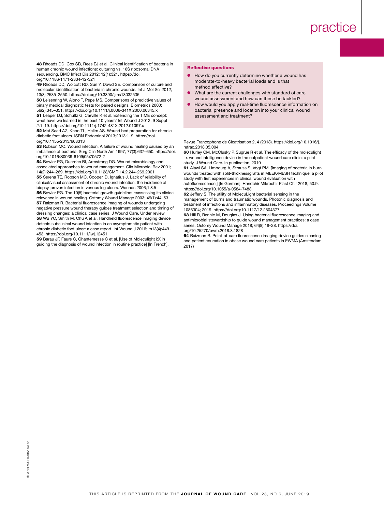48 Rhoads DD, Cox SB, Rees EJ et al. Clinical identification of bacteria in human chronic wound infections: culturing vs. 16S ribosomal DNA sequencing. BMC Infect Dis 2012; 12(1):321. https://doi. org/10.1186/1471-2334-12-321

49 Rhoads DD, Wolcott RD, Sun Y, Dowd SE. Comparison of culture and molecular identification of bacteria in chronic wounds. Int J Mol Sci 2012;

13(3):2535–2550. https://doi.org/10.3390/ijms13032535 50 Leisenring W, Alono T, Pepe MS. Comparisons of predictive values of binary medical diagnostic tests for paired designs. Biometrics 2000;

56(2):345–351. https://doi.org/10.1111/j.0006-341X.2000.00345.x 51 Leaper DJ, Schultz G, Carville K et al. Extending the TIME concept: what have we learned in the past 10 years? Int Wound J 2012; 9 Suppl 2:1–19. https://doi.org/10.1111/j.1742-481X.2012.01097.x

52 Mat Saad AZ, Khoo TL, Halim AS. Wound bed preparation for chronic diabetic foot ulcers. ISRN Endocrinol 2013;2013:1–9. https://doi. org/10.1155/2013/608313

53 Robson MC. Wound infection. A failure of wound healing caused by an imbalance of bacteria. Surg Clin North Am 1997; 77(3):637–650. https://doi. org/10.1016/S0039-6109(05)70572-7

54 Bowler PG, Duerden BI, Armstrong DG. Wound microbiology and associated approaches to wound management. Clin Microbiol Rev 2001; 14(2):244–269. https://doi.org/10.1128/CMR.14.2.244-269.2001

55 Serena TE, Robson MC, Cooper, D, Ignatius J. Lack of reliability of clinical/visual assessment of chronic wound infection: the incidence of biopsy-proven infection in venous leg ulcers. Wounds 2006;1 8:5

56 Bowler PG. The 10(5) bacterial growth guideline: reassessing its clinical relevance in wound healing. Ostomy Wound Manage 2003; 49(1):44–53 57 Raizman R. Bacterial fluorescence imaging of wounds undergoing negative pressure wound therapy guides treatment selection and timing of dressing changes: a clinical case series. J Wound Care, Under review 58 Wu YC, Smith M, Chu A et al. Handheld fluorescence imaging device detects subclinical wound infection in an asymptomatic patient with chronic diabetic foot ulcer: a case report. Int Wound J 2016; m13(4):449– 453. https://doi.org/10.1111/iwj.12451

59 Barau JF, Faure C, Chantemesse C et al. [Use of Moleculight i:X in guiding the diagnosis of wound infection in routine practice] [In French].

#### Reflective questions

- How do you currently determine whether a wound has moderate-to-heavy bacterial loads and is that method effective?
- What are the current challenges with standard of care wound assessment and how can these be tackled?
- How would you apply real-time fluorescence information on bacterial presence and location into your clinical wound assessment and treatment?

Revue Francophone de Cicatrisation 2, 4 (2018). https://doi.org/10.1016/j. refrac.2018.05.004

60 Hurley CM, McClusky P, Sugrue R et al. The efficacy of the moleculight i:x wound intelligence device in the outpatient wound care clinic: a pilot study. J Wound Care. In publication, 2019

61 Alawi SA, Limbourg A, Strauss S, Vogt PM. [Imaging of bacteria in burn wounds treated with split-thicknessgrafts in MEEK/MESH technique: a pilot study with first experiences in clinical wound evaluation with

autofluorescence.] [In German] Handchir Mikrochir Plast Chir 2018; 50:9. https://doi.org/10.1055/a-0584-7488

62 Jeffery S. The utility of MolecuLight bacterial sensing in the management of burns and traumatic wounds. Photonic diagnosis and treatment of infections and inflammatory diseases. Proceedings Volume 1086304; 2019. https://doi.org/10.1117/12.2504377

63 Hill R, Rennie M, Douglas J. Using bacterial fluorescence imaging and antimicrobial stewardship to guide wound management practices: a case series. Ostomy Wound Manage 2018; 64(8):18–28. https://doi. org/10.25270/owm.2018.8.1828

64 Raizman R. Point-of-care fluorescence imaging device guides cleaning and patient education in obese wound care patients in EWMA (Amsterdam, 2017)